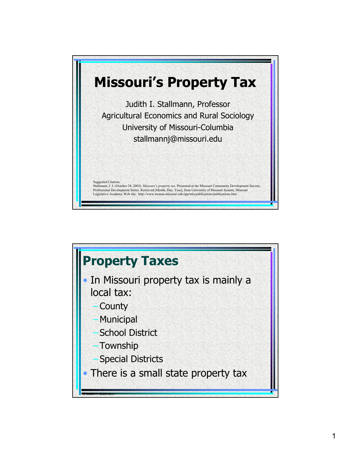

## **Property Taxes** In Missouri property tax is mainly a local tax: **County Municipal School District Township Special Districts** There is a small state property tax © Judith I. Stallmann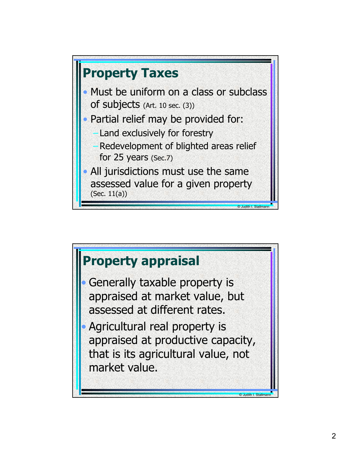

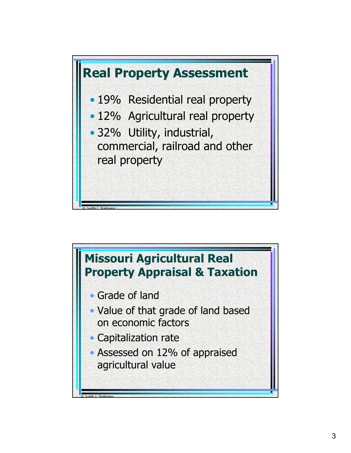

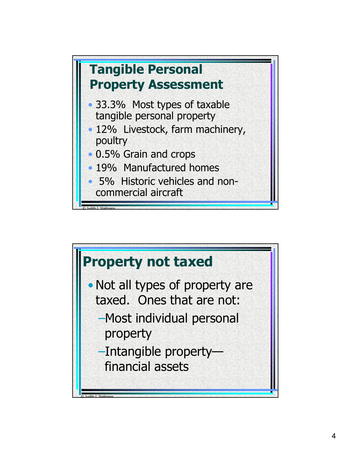

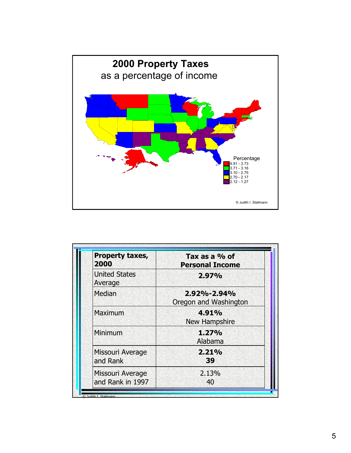

| Property taxes,<br>2000              | Tax as a % of<br><b>Personal Income</b> |
|--------------------------------------|-----------------------------------------|
| <b>United States</b><br>Average      | 2.97%                                   |
| Median                               | 2.92%-2.94%<br>Oregon and Washington    |
| Maximum                              | 4.91%<br>New Hampshire                  |
| Minimum                              | 1.27%<br>Alabama                        |
| Missouri Average<br>and Rank         | 2.21%<br>39                             |
| Missouri Average<br>and Rank in 1997 | 2.13%<br>40                             |